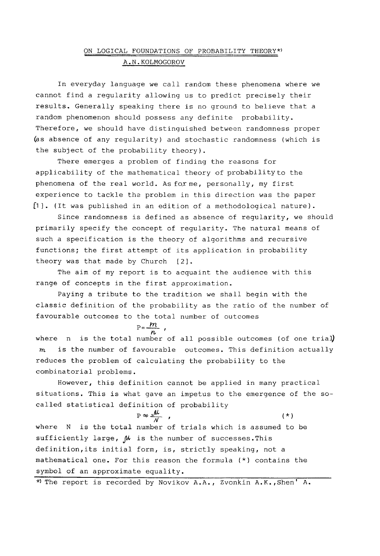## ON LOGICAL FOUNDATIONS OF PROBABILITY THEORY\*) A.N.KOLMOGOROV

In everyday language we call random these phenomena where we cannot find a regularity allowing us to predict precisely their results. Generally speaking there is no ground to believe that a random phenomenon should possess any definite probability. Therefore, we should have distinguished between randomness proper (as absence of any regularity) and stochastic randomness (which is the subject of the probability theory).

There emerges a problem of finding the reasons for applicability of the mathematical theory of probability to the phenomena of the real world. As forme, personally, my first experience to tackle the problem in this direction was the paper [I]. (It was published in an edition of a methodological nature).

Since randomness is defined as absence of regularity, we should primarily specify the concept of regularity. The natural means of such a specification is the theory of algorithms and recursive functions; the first attempt of its application in probability theory was that made by Church [2].

The aim of my report is to acquaint the audience with this range of concepts in the first approximation.

Paying a tribute to the tradition we shall begin with the classic definition of the probability as the ratio of the number of favourable outcomes to the total number of outcomes

 $P=\frac{m}{n}$ ,

where  $n$  is the total number of all possible outcomes (of one trial) is the number of favourable outcomes. This definition actually  $\boldsymbol{m}$ reduces the problem of calculating the probability to the combinatorial problems.

However, this definition cannot be applied in many practical situations. This is what gave an impetus to the emergence of the socalled statistical definition of probability

 $P \approx \frac{\mathcal{M}}{\mathcal{N}}$ , (\*) where N is the total number of trials which is assumed to be sufficiently large,  $\mu$  is the number of successes. This definition,its initial form, is, strictly speaking, not a mathematical one. For this reason the formula (\*) contains the symbol of an approximate equality.

\*) The report is recorded by Novikov A.A., Zvonkin A.K., Shen' A.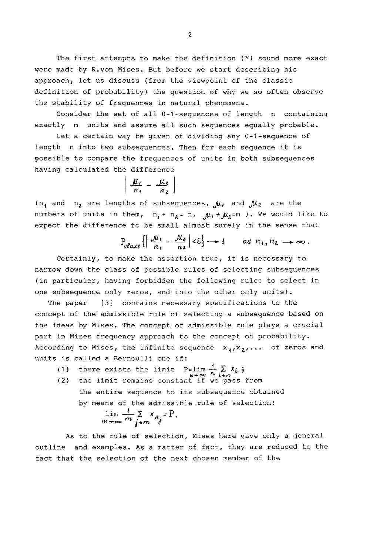The first attempts to make the definition (\*) sound more exact were made by R.von Mises. But before we start describing his approach, let us discuss (from the viewpoint of the classic definition of probability) the question of why we so often observe the stability of frequences in natural phenomena.

Consider the set of all 0-l-sequences of length n containing exactly m units and assume all such sequences equally probable.

Let a certain way be given of dividing any 0-l-sequence of length n into two subsequences. Then for each sequence it is possible to compare the frequences of units in both subsequences having calculated the difference

$$
\left|\frac{\mu_i}{n_1}-\frac{\mu_2}{n_2}\right|
$$

( $n_1$  and  $n_2$  are lengths of subsequences,  $\mu_1$  and  $\mu_2$  are the numbers of units in them,  $n_1 + n_2 = n$ ,  $\mu_1 + \mu_2 = m$  ). We would like to expect the difference to be small almost surely in the sense that

$$
P_{class}\left\{\left|\frac{\partial u_1}{n_1}-\frac{\partial u_2}{n_2}\right|<\varepsilon\right\}\longrightarrow 1 \quad \text{as } n_1, n_2\longrightarrow\infty.
$$

Certainly, to make the assertion true, it is necessary to narrow down the class of possible rules of selecting subsequences (in particular, having forbidden the following rule: to select in one subsequence only zeros, and into the other only units).

The paper [3] contains necessary specifications to the concept of the admissible rule of selecting a subsequence based on the ideas by Mises. The concept of admissible rule plays a crucial part in Mises frequency approach to the concept of probability. According to Mises, the infinite sequence  $x_1, x_2, \ldots$  of zeros and units is called a Bernoulli one if:

- (1) there exists the limit P=lim $\frac{1}{4}$   $\geq$  X<sub>i</sub>.
- (2) the limit remains constant if we pass from the entire sequence to its subsequence obtained by means of the admissible rule of selection:

$$
\lim_{m\to\infty}\frac{1}{m}\sum_{j\neq m}x_{n_j}=P.
$$

As to the rule of selection, Mises here gave only a general outline and examples. As a matter of fact, they are reduced to the fact that the selection of the next chosen member of the

 $\overline{2}$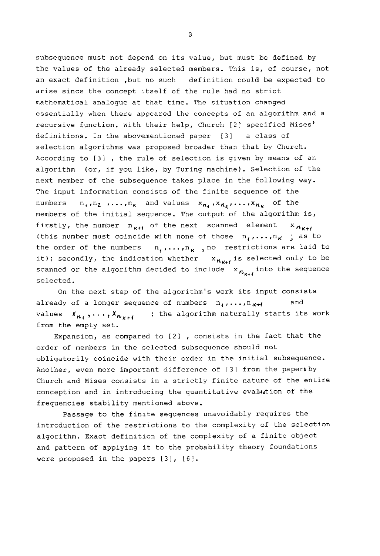subsequence must not depend on its value, but must be defined by the values of the already selected members. This is, of course, not an exact definition ,but no such definition could be expected to arise since the concept itself of the rule had no strict mathematical analogue at that time. The situation changed essentially when there appeared the concepts of an algorithm and a recursive function. With their help, Church [2] specified Mises' definitions. In the abovementioned paper [3] a class of selection algorithms was proposed broader than that by Church. According to [3] , the rule of selection is given by means of an algorithm (or, if you like, by Turing machine). Selection of the next member of the subsequence takes place in the following way. The input information consists of the finite sequence of the numbers  $n_1, n_2, \ldots, n_k$  and values  $x_{n_1}, x_{n_2}, \ldots, x_{n_k}$  of the members of the initial sequence. The output of the algorithm is, firstly, the number  $n_{k+1}$  of the next scanned element  $x_{n_{k+1}}$ (this number must coincide with none of those  $n_1, \ldots, n_K$  ; as to the order of the numbers  $n_1, \ldots, n_k$ , no restrictions are laid to it); secondly, the indication whether  $x_{n_{K+1}}$  is selected only to be scanned or the algorithm decided to include  $x_{n_{u+1}}$  into the sequence selected.

On the next step of the algorithm's work its input consists already of a longer sequence of numbers  $n_1, ..., n_{K+1}$  and values  $x_{n_4}, \ldots, x_{n_{K+4}}$  ; the algorithm naturally starts its work from the empty set.

Expansion, as compared to [2] , consists in the fact that the order of members in the selected subsequence should not obligatorily coincide with their order in the initial subsequence. Another, even more important difference of [3] from the papersby Church and Mises consists in a strictly finite nature of the entire conception and in introducing the quantitative evaluation of the frequencies stability mentioned above.

Passage to the finite sequences unavoidably requires the introduction of the restrictions to the complexity of the selection algorithm. Exact definition of the complexity of a finite object and pattern of applying it to the probability theory foundations were proposed in the papers [3], [6].

3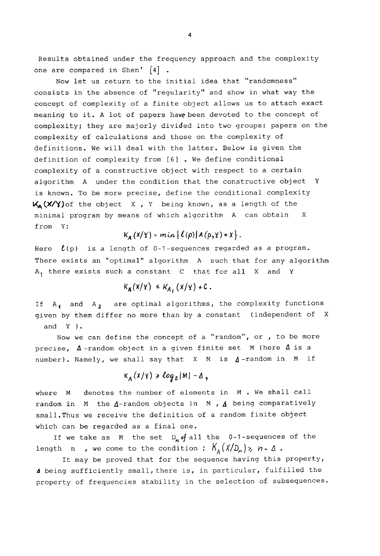Results obtained under the frequency approach and the complexity one are compared in Shen'  $\lceil 4 \rceil$ .

Now let us return to the initial idea that "randomness" consists in the absence of "regularity" and show in what way the concept of complexity of a finite object allows us to attach exact meaning to it. A lot of papers have been devoted to the concept of complexity; they are majorly divided into two groups: papers on the complexity of calculations and those on the complexity of definitions. We will deal with the latter. Below is given the definition of complexity from [6] . We define conditional complexity of a constructive object with respect to a certain algorithm A under the condition that the constructive object Y is known. To be more precise, define the conditional complexity  $K_{A}(X/Y)$  of the object X, Y being known, as a length of the minimal program by means of which algorithm A can obtain X from Y:

## $K_{A}(X/Y) = min\{l(\rho)|A(\rho,Y)=X\}.$

Here  $\ell(p)$  is a length of 0-1-sequences regarded as a program. There exists an "optimal" algorithm A such that for any algorithm A, there exists such a constant C that for all X and Y

$$
K_{\mathbf{A}}(X/Y) \leq K_{\mathbf{A}}(X/Y) + C
$$

If  $A_{4}$  and  $A_{2}$  are optimal algorithms, the complexity functions given by them differ no more than by a constant (independent of X and Y ).

Now we can define the concept of a "random", or , to be more precise,  $\Delta$ -random object in a given finite set M (here  $\Delta$  is a number). Namely, we shall say that  $X$  M is  $\Delta$ -random in M if

## $K_A(X/Y) \geq \log_2 |M| - \Delta$ ,

where M denotes the number of elements in M . We shall call random in  $M$  the  $\Delta$ -random objects in  $M$ ,  $\Delta$  being comparatively small.Thus we receive the definition of a random finite object which can be regarded as a final one.

If we take as M the set  $D_n$  of all the 0-1-sequences of the length n , we come to the condition :  $K_A(X/D_n)$  >  $n-\Delta$ .

It may be proved that for the sequence having this property, being sufficiently small, there is, in particular, fulfilled the property of frequencies stability in the selection of subsequences.

 $\boldsymbol{4}$